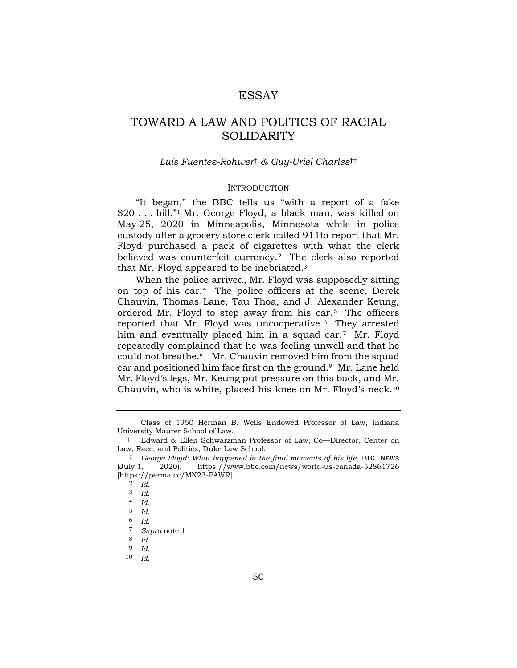## ESSAY

# TOWARD A LAW AND POLITICS OF RACIAL SOLIDARITY

## <span id="page-0-0"></span>*Luis Fuentes-Rohwer*† *& Guy-Uriel Charles*††

#### INTRODUCTION

"It began," the BBC tells us "with a report of a fake \$20 . . . bill." <sup>1</sup> Mr. George Floyd, a black man, was killed on May 25, 2020 in Minneapolis, Minnesota while in police custody after a grocery store clerk called 911to report that Mr. Floyd purchased a pack of cigarettes with what the clerk believed was counterfeit currency.<sup>2</sup> The clerk also reported that Mr. Floyd appeared to be inebriated.<sup>3</sup>

When the police arrived, Mr. Floyd was supposedly sitting on top of his car.<sup>4</sup> The police officers at the scene, Derek Chauvin, Thomas Lane, Tau Thoa, and J. Alexander Keung, ordered Mr. Floyd to step away from his car. $5$  The officers reported that Mr. Floyd was uncooperative.<sup>6</sup> They arrested him and eventually placed him in a squad car.<sup>7</sup> Mr. Floyd repeatedly complained that he was feeling unwell and that he could not breathe.<sup>8</sup> Mr. Chauvin removed him from the squad car and positioned him face first on the ground.<sup>9</sup> Mr. Lane held Mr. Floyd's legs, Mr. Keung put pressure on this back, and Mr. Chauvin, who is white, placed his knee on Mr. Floyd's neck.<sup>10</sup>

<sup>†</sup> Class of 1950 Herman B. Wells Endowed Professor of Law, Indiana University Maurer School of Law.

<sup>††</sup> Edward & Ellen Schwarzman Professor of Law, Co—Director, Center on Law, Race, and Politics, Duke Law School.

<sup>&</sup>lt;sup>1</sup> George Floyd: What happened in the final moments of his life, BBC NEWS (July 1, 2020), https://www.bbc.com/news/world-us-canada-52861726 [https://perma.cc/MN23-PAWR].

<sup>2</sup> *Id.*

<sup>3</sup> *Id.*

<sup>4</sup> *Id.*

<sup>5</sup> *Id.*

<sup>6</sup> *Id.*

<sup>7</sup> *Supra* note [1](#page-0-0)

<sup>8</sup> *Id.*

<sup>9</sup> *Id.*

<sup>10</sup> *Id.*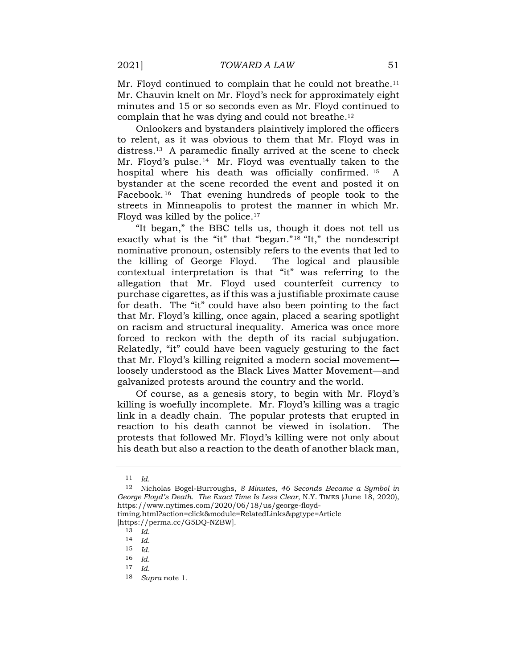Mr. Floyd continued to complain that he could not breathe.<sup>11</sup> Mr. Chauvin knelt on Mr. Floyd's neck for approximately eight minutes and 15 or so seconds even as Mr. Floyd continued to complain that he was dying and could not breathe.<sup>12</sup>

Onlookers and bystanders plaintively implored the officers to relent, as it was obvious to them that Mr. Floyd was in distress.<sup>13</sup> A paramedic finally arrived at the scene to check Mr. Floyd's pulse.<sup>14</sup> Mr. Floyd was eventually taken to the hospital where his death was officially confirmed. <sup>15</sup> A bystander at the scene recorded the event and posted it on Facebook. <sup>16</sup> That evening hundreds of people took to the streets in Minneapolis to protest the manner in which Mr. Floyd was killed by the police.<sup>17</sup>

"It began," the BBC tells us, though it does not tell us exactly what is the "it" that "began."<sup>18</sup> "It," the nondescript nominative pronoun, ostensibly refers to the events that led to the killing of George Floyd. The logical and plausible contextual interpretation is that "it" was referring to the allegation that Mr. Floyd used counterfeit currency to purchase cigarettes, as if this was a justifiable proximate cause for death. The "it" could have also been pointing to the fact that Mr. Floyd's killing, once again, placed a searing spotlight on racism and structural inequality. America was once more forced to reckon with the depth of its racial subjugation. Relatedly, "it" could have been vaguely gesturing to the fact that Mr. Floyd's killing reignited a modern social movement loosely understood as the Black Lives Matter Movement—and galvanized protests around the country and the world.

Of course, as a genesis story, to begin with Mr. Floyd's killing is woefully incomplete. Mr. Floyd's killing was a tragic link in a deadly chain. The popular protests that erupted in reaction to his death cannot be viewed in isolation. The protests that followed Mr. Floyd's killing were not only about his death but also a reaction to the death of another black man,

[https://perma.cc/G5DQ-NZBW].

<sup>11</sup> *Id.*

<sup>12</sup> Nicholas Bogel-Burroughs, *8 Minutes, 46 Seconds Became a Symbol in George Floyd's Death. The Exact Time Is Less Clear*, N.Y. TIMES (June 18, 2020), https://www.nytimes.com/2020/06/18/us/george-floydtiming.html?action=click&module=RelatedLinks&pgtype=Article

<sup>13</sup> *Id.*

<sup>14</sup> *Id.*

<sup>15</sup> *Id.* 16 *Id.*

<sup>17</sup> *Id.*

<sup>18</sup> *Supra* note [1.](#page-0-0)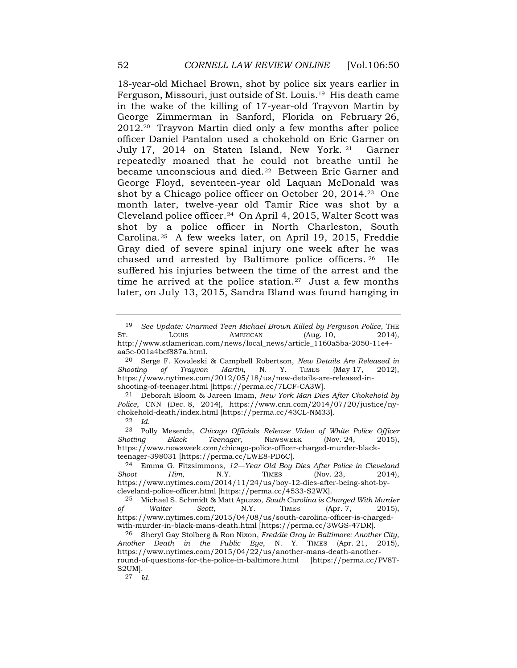18-year-old Michael Brown, shot by police six years earlier in Ferguson, Missouri, just outside of St. Louis.<sup>19</sup> His death came in the wake of the killing of 17-year-old Trayvon Martin by George Zimmerman in Sanford, Florida on February 26, 2012.<sup>20</sup> Trayvon Martin died only a few months after police officer Daniel Pantalon used a chokehold on Eric Garner on July 17, 2014 on Staten Island, New York. <sup>21</sup> Garner repeatedly moaned that he could not breathe until he became unconscious and died.<sup>22</sup> Between Eric Garner and George Floyd, seventeen-year old Laquan McDonald was shot by a Chicago police officer on October 20, 2014.<sup>23</sup> One month later, twelve-year old Tamir Rice was shot by a Cleveland police officer.<sup>24</sup> On April 4, 2015, Walter Scott was shot by a police officer in North Charleston, South Carolina.<sup>25</sup> A few weeks later, on April 19, 2015, Freddie Gray died of severe spinal injury one week after he was chased and arrested by Baltimore police officers. <sup>26</sup> He suffered his injuries between the time of the arrest and the time he arrived at the police station.<sup>27</sup> Just a few months later, on July 13, 2015, Sandra Bland was found hanging in

20 Serge F. Kovaleski & Campbell Robertson, *New Details Are Released in Shooting of Trayvon Martin*, N. Y. TIMES (May 17, 2012), https://www.nytimes.com/2012/05/18/us/new-details-are-released-inshooting-of-teenager.html [https://perma.cc/7LCF-CA3W].

21 Deborah Bloom & Jareen Imam, *New York Man Dies After Chokehold by Police*, CNN (Dec. 8, 2014), https://www.cnn.com/2014/07/20/justice/nychokehold-death/index.html [https://perma.cc/43CL-NM33].

22 *Id.*

23 Polly Mesendz, *Chicago Officials Release Video of White Police Officer Shotting Black Teenager*, NEWSWEEK (Nov. 24, 2015), https://www.newsweek.com/chicago-police-officer-charged-murder-blackteenager-398031 [https://perma.cc/LWE8-PD6C].

24 Emma G. Fitzsimmons, *12—Year Old Boy Dies After Police in Cleveland Shoot Him*, N.Y. TIMES (Nov. 23, 2014), https://www.nytimes.com/2014/11/24/us/boy-12-dies-after-being-shot-bycleveland-police-officer.html [https://perma.cc/4533-S2WX].

25 Michael S. Schmidt & Matt Apuzzo, *South Carolina is Charged With Murder of Walter Scott*, N.Y. TIMES (Apr. 7, 2015), https://www.nytimes.com/2015/04/08/us/south-carolina-officer-is-chargedwith-murder-in-black-mans-death.html [https://perma.cc/3WGS-47DR].

26 Sheryl Gay Stolberg & Ron Nixon, *Freddie Gray in Baltimore: Another City, Another Death in the Public Eye*, N. Y. TIMES (Apr. 21, 2015), https://www.nytimes.com/2015/04/22/us/another-mans-death-anotherround-of-questions-for-the-police-in-baltimore.html [https://perma.cc/PV8T-S2UM].

27 *Id.*

<sup>19</sup> *See Update: Unarmed Teen Michael Brown Killed by Ferguson Police*, THE ST. LOUIS AMERICAN (Aug. 10, 2014), http://www.stlamerican.com/news/local\_news/article\_1160a5ba-2050-11e4 aa5c-001a4bcf887a.html.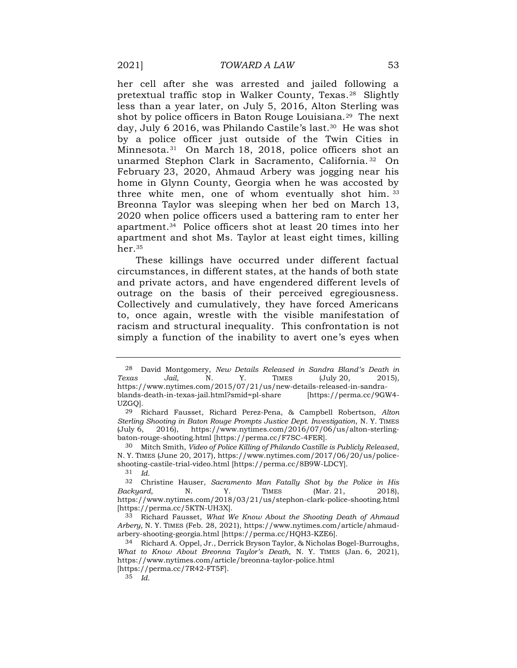her cell after she was arrested and jailed following a pretextual traffic stop in Walker County, Texas.<sup>28</sup> Slightly less than a year later, on July 5, 2016, Alton Sterling was shot by police officers in Baton Rouge Louisiana.<sup>29</sup> The next day, July 6 2016, was Philando Castile's last.<sup>30</sup> He was shot by a police officer just outside of the Twin Cities in Minnesota.<sup>31</sup> On March 18, 2018, police officers shot an unarmed Stephon Clark in Sacramento, California. <sup>32</sup> On February 23, 2020, Ahmaud Arbery was jogging near his home in Glynn County, Georgia when he was accosted by three white men, one of whom eventually shot him. <sup>33</sup> Breonna Taylor was sleeping when her bed on March 13, 2020 when police officers used a battering ram to enter her apartment.<sup>34</sup> Police officers shot at least 20 times into her apartment and shot Ms. Taylor at least eight times, killing her.<sup>35</sup>

These killings have occurred under different factual circumstances, in different states, at the hands of both state and private actors, and have engendered different levels of outrage on the basis of their perceived egregiousness. Collectively and cumulatively, they have forced Americans to, once again, wrestle with the visible manifestation of racism and structural inequality. This confrontation is not simply a function of the inability to avert one's eyes when

<sup>28</sup> David Montgomery, *New Details Released in Sandra Bland's Death in Texas Jail*, N. Y. TIMES (July 20, 2015), https://www.nytimes.com/2015/07/21/us/new-details-released-in-sandrablands-death-in-texas-jail.html?smid=pl-share [https://perma.cc/9GW4- UZGQ].

<sup>29</sup> Richard Fausset, Richard Perez-Pena, & Campbell Robertson, *Alton Sterling Shooting in Baton Rouge Prompts Justice Dept. Investigation*, N. Y. TIMES  $($ July 6, 2016), https://www.nytimes.com/2016/07/06/us/alton-sterlingbaton-rouge-shooting.html [https://perma.cc/F7SC-4FER].

<sup>30</sup> Mitch Smith, *Video of Police Killing of Philando Castille is Publicly Released*, N. Y. TIMES (June 20, 2017), https://www.nytimes.com/2017/06/20/us/policeshooting-castile-trial-video.html [https://perma.cc/8B9W-LDCY].

<sup>31</sup> *Id.*

<sup>32</sup> Christine Hauser, *Sacramento Man Fatally Shot by the Police in His Backyard*, N. Y. TIMES (Mar. 21, 2018), https://www.nytimes.com/2018/03/21/us/stephon-clark-police-shooting.html [https://perma.cc/5KTN-UH3X].

<sup>33</sup> Richard Fausset, *What We Know About the Shooting Death of Ahmaud Arbery,* N. Y. TIMES (Feb. 28, 2021), https://www.nytimes.com/article/ahmaudarbery-shooting-georgia.html [https://perma.cc/HQH3-KZE6].

<sup>34</sup> Richard A. Oppel, Jr., Derrick Bryson Taylor, & Nicholas Bogel-Burroughs, *What to Know About Breonna Taylor's Death*, N. Y. TIMES (Jan. 6, 2021), https://www.nytimes.com/article/breonna-taylor-police.html

<sup>[</sup>https://perma.cc/7R42-FT5F].

<sup>35</sup> *Id.*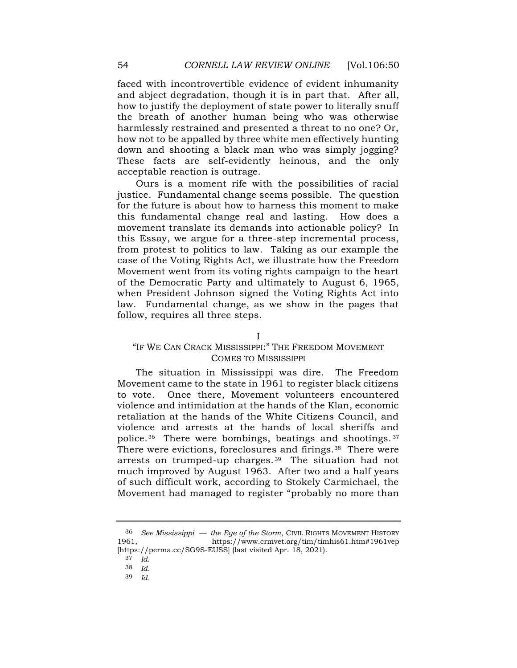faced with incontrovertible evidence of evident inhumanity and abject degradation, though it is in part that. After all, how to justify the deployment of state power to literally snuff the breath of another human being who was otherwise harmlessly restrained and presented a threat to no one? Or, how not to be appalled by three white men effectively hunting down and shooting a black man who was simply jogging? These facts are self-evidently heinous, and the only acceptable reaction is outrage.

Ours is a moment rife with the possibilities of racial justice. Fundamental change seems possible. The question for the future is about how to harness this moment to make this fundamental change real and lasting. How does a movement translate its demands into actionable policy? In this Essay, we argue for a three-step incremental process, from protest to politics to law. Taking as our example the case of the Voting Rights Act, we illustrate how the Freedom Movement went from its voting rights campaign to the heart of the Democratic Party and ultimately to August 6, 1965, when President Johnson signed the Voting Rights Act into law. Fundamental change, as we show in the pages that follow, requires all three steps.

#### I

### "IF WE CAN CRACK MISSISSIPPI:" THE FREEDOM MOVEMENT COMES TO MISSISSIPPI

<span id="page-4-0"></span>The situation in Mississippi was dire. The Freedom Movement came to the state in 1961 to register black citizens to vote. Once there, Movement volunteers encountered violence and intimidation at the hands of the Klan, economic retaliation at the hands of the White Citizens Council, and violence and arrests at the hands of local sheriffs and police.<sup>36</sup> There were bombings, beatings and shootings. <sup>37</sup> There were evictions, foreclosures and firings.<sup>38</sup> There were arrests on trumped-up charges. <sup>39</sup> The situation had not much improved by August 1963. After two and a half years of such difficult work, according to Stokely Carmichael, the Movement had managed to register "probably no more than

<sup>36</sup> *See Mississippi* — *the Eye of the Storm*, CIVIL RIGHTS MOVEMENT HISTORY 1961, https://www.crmvet.org/tim/timhis61.htm#1961vep [https://perma.cc/SG9S-EUSS] (last visited Apr. 18, 2021).

<sup>37</sup> *Id.*

<sup>38</sup> *Id.*

<sup>39</sup> *Id.*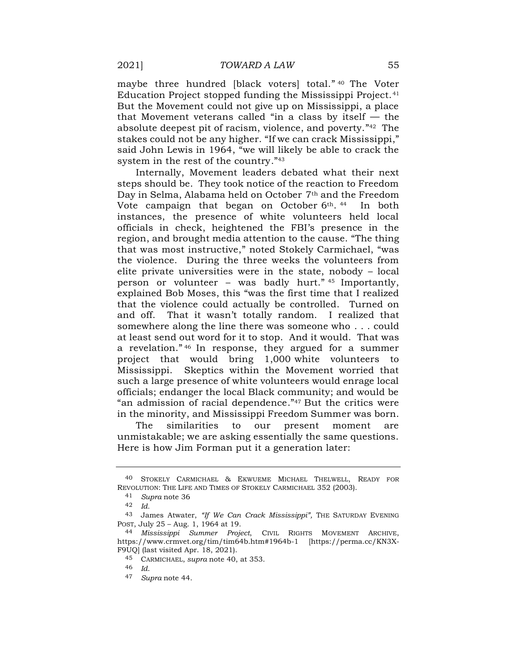<span id="page-5-0"></span>maybe three hundred [black voters] total." <sup>40</sup> The Voter Education Project stopped funding the Mississippi Project.<sup>41</sup> But the Movement could not give up on Mississippi, a place that Movement veterans called "in a class by itself  $-$  the absolute deepest pit of racism, violence, and poverty." <sup>42</sup> The stakes could not be any higher. "If we can crack Mississippi," said John Lewis in 1964, "we will likely be able to crack the system in the rest of the country." 43

<span id="page-5-1"></span>Internally, Movement leaders debated what their next steps should be. They took notice of the reaction to Freedom Day in Selma, Alabama held on October 7th and the Freedom Vote campaign that began on October 6<sup>th</sup>.<sup>44</sup> In both instances, the presence of white volunteers held local officials in check, heightened the FBI's presence in the region, and brought media attention to the cause. "The thing that was most instructive," noted Stokely Carmichael, "was the violence. During the three weeks the volunteers from elite private universities were in the state, nobody – local person or volunteer – was badly hurt." <sup>45</sup> Importantly, explained Bob Moses, this "was the first time that I realized that the violence could actually be controlled. Turned on and off. That it wasn't totally random. I realized that somewhere along the line there was someone who . . . could at least send out word for it to stop. And it would. That was a revelation." <sup>46</sup> In response, they argued for a summer project that would bring 1,000 white volunteers to Mississippi. Skeptics within the Movement worried that such a large presence of white volunteers would enrage local officials; endanger the local Black community; and would be "an admission of racial dependence." <sup>47</sup> But the critics were in the minority, and Mississippi Freedom Summer was born.

The similarities to our present moment are unmistakable; we are asking essentially the same questions. Here is how Jim Forman put it a generation later:

<sup>40</sup> STOKELY CARMICHAEL & EKWUEME MICHAEL THELWELL, READY FOR REVOLUTION: THE LIFE AND TIMES OF STOKELY CARMICHAEL 352 (2003).

<sup>41</sup> *Supra* note [36](#page-4-0)

<sup>42</sup> *Id.*

<sup>43</sup> James Atwater, *"If We Can Crack Mississippi",* THE SATURDAY EVENING POST, July 25 – Aug. 1, 1964 at 19.

<sup>44</sup> *Mississippi Summer Project*, CIVIL RIGHTS MOVEMENT ARCHIVE, https://www.crmvet.org/tim/tim64b.htm#1964b-1 [https://perma.cc/KN3X-F9UQ] (last visited Apr. 18, 2021).

<sup>45</sup> CARMICHAEL, *supra* note [40,](#page-5-0) at 353.

<sup>46</sup> *Id*.

<sup>47</sup> *Supra* note [44.](#page-5-1)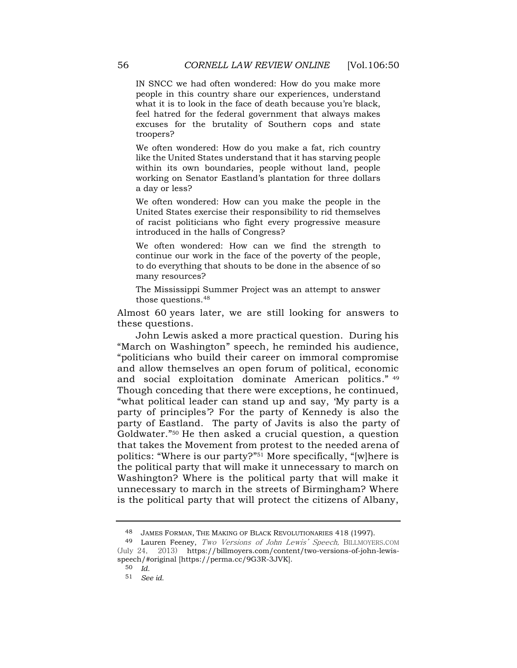IN SNCC we had often wondered: How do you make more people in this country share our experiences, understand what it is to look in the face of death because you're black, feel hatred for the federal government that always makes excuses for the brutality of Southern cops and state troopers?

We often wondered: How do you make a fat, rich country like the United States understand that it has starving people within its own boundaries, people without land, people working on Senator Eastland's plantation for three dollars a day or less?

We often wondered: How can you make the people in the United States exercise their responsibility to rid themselves of racist politicians who fight every progressive measure introduced in the halls of Congress?

We often wondered: How can we find the strength to continue our work in the face of the poverty of the people, to do everything that shouts to be done in the absence of so many resources?

The Mississippi Summer Project was an attempt to answer those questions.<sup>48</sup>

Almost 60 years later, we are still looking for answers to these questions.

John Lewis asked a more practical question. During his "March on Washington" speech, he reminded his audience, "politicians who build their career on immoral compromise and allow themselves an open forum of political, economic and social exploitation dominate American politics." 49 Though conceding that there were exceptions, he continued, "what political leader can stand up and say, 'My party is a party of principles'? For the party of Kennedy is also the party of Eastland. The party of Javits is also the party of Goldwater." <sup>50</sup> He then asked a crucial question, a question that takes the Movement from protest to the needed arena of politics: "Where is our party?" <sup>51</sup> More specifically, "[w]here is the political party that will make it unnecessary to march on Washington? Where is the political party that will make it unnecessary to march in the streets of Birmingham? Where is the political party that will protect the citizens of Albany,

<sup>48</sup> JAMES FORMAN, THE MAKING OF BLACK REVOLUTIONARIES 418 (1997).

<sup>49</sup> Lauren Feeney, Two Versions of John Lewis' Speech, BILLMOYERS.COM (July 24, 2013) https://billmoyers.com/content/two-versions-of-john-lewisspeech/#original [https://perma.cc/9G3R-3JVK].

<sup>50</sup> *Id.*

<sup>51</sup> *See id.*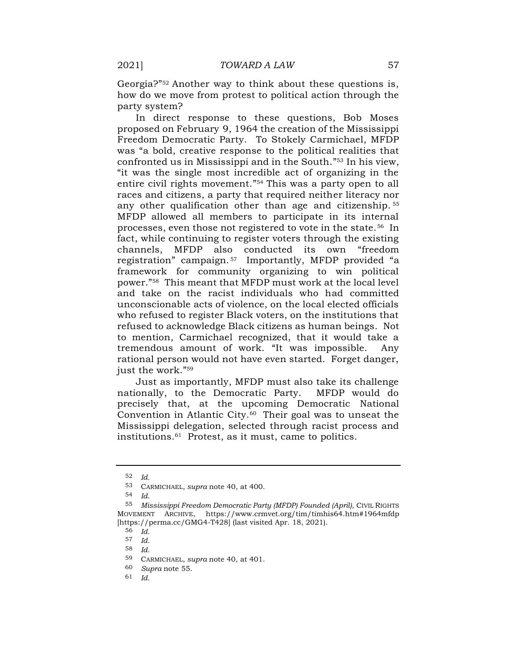Georgia?" <sup>52</sup> Another way to think about these questions is, how do we move from protest to political action through the party system?

<span id="page-7-0"></span>In direct response to these questions, Bob Moses proposed on February 9, 1964 the creation of the Mississippi Freedom Democratic Party. To Stokely Carmichael, MFDP was "a bold, creative response to the political realities that confronted us in Mississippi and in the South." <sup>53</sup> In his view, "it was the single most incredible act of organizing in the entire civil rights movement." <sup>54</sup> This was a party open to all races and citizens, a party that required neither literacy nor any other qualification other than age and citizenship. <sup>55</sup> MFDP allowed all members to participate in its internal processes, even those not registered to vote in the state.<sup>56</sup> In fact, while continuing to register voters through the existing channels, MFDP also conducted its own "freedom registration" campaign. <sup>57</sup> Importantly, MFDP provided "a framework for community organizing to win political power." <sup>58</sup> This meant that MFDP must work at the local level and take on the racist individuals who had committed unconscionable acts of violence, on the local elected officials who refused to register Black voters, on the institutions that refused to acknowledge Black citizens as human beings. Not to mention, Carmichael recognized, that it would take a tremendous amount of work. "It was impossible. Any rational person would not have even started. Forget danger, just the work." 59

Just as importantly, MFDP must also take its challenge nationally, to the Democratic Party. MFDP would do precisely that, at the upcoming Democratic National Convention in Atlantic City.60 Their goal was to unseat the Mississippi delegation, selected through racist process and institutions.<sup>61</sup> Protest, as it must, came to politics.

<sup>52</sup> *Id.*

<sup>53</sup> CARMICHAEL, *supra* note [40,](#page-5-0) at 400.

<sup>54</sup> *Id*.

<sup>55</sup> *Mississippi Freedom Democratic Party (MFDP) Founded (April)*, CIVIL RIGHTS MOVEMENT ARCHIVE, https://www.crmvet.org/tim/timhis64.htm#1964mfdp [https://perma.cc/GMG4-T428] (last visited Apr. 18, 2021).

<sup>56</sup> *Id.*

<sup>57</sup> *Id.*

<sup>58</sup> *Id.*

<sup>59</sup> CARMICHAEL, *supra* note [40,](#page-5-0) at 401.

<sup>60</sup> *Supra* note [55.](#page-7-0)

<sup>61</sup> *Id.*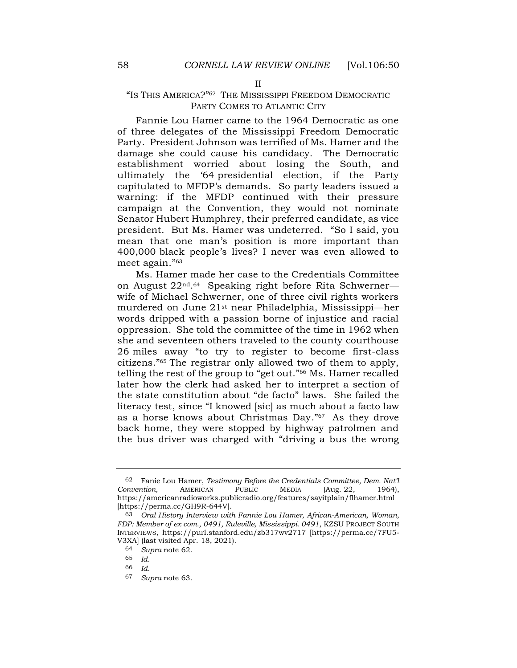#### <span id="page-8-0"></span>II

## "IS THIS AMERICA?" <sup>62</sup> THE MISSISSIPPI FREEDOM DEMOCRATIC PARTY COMES TO ATLANTIC CITY

Fannie Lou Hamer came to the 1964 Democratic as one of three delegates of the Mississippi Freedom Democratic Party. President Johnson was terrified of Ms. Hamer and the damage she could cause his candidacy. The Democratic establishment worried about losing the South, and ultimately the '64 presidential election, if the Party capitulated to MFDP's demands. So party leaders issued a warning: if the MFDP continued with their pressure campaign at the Convention, they would not nominate Senator Hubert Humphrey, their preferred candidate, as vice president. But Ms. Hamer was undeterred. "So I said, you mean that one man's position is more important than 400,000 black people's lives? I never was even allowed to meet again." 63

<span id="page-8-1"></span>Ms. Hamer made her case to the Credentials Committee on August 22nd. <sup>64</sup> Speaking right before Rita Schwerner wife of Michael Schwerner, one of three civil rights workers murdered on June 21st near Philadelphia, Mississippi—her words dripped with a passion borne of injustice and racial oppression. She told the committee of the time in 1962 when she and seventeen others traveled to the county courthouse 26 miles away "to try to register to become first-class citizens." <sup>65</sup> The registrar only allowed two of them to apply, telling the rest of the group to "get out." <sup>66</sup> Ms. Hamer recalled later how the clerk had asked her to interpret a section of the state constitution about "de facto" laws. She failed the literacy test, since "I knowed [sic] as much about a facto law as a horse knows about Christmas Day." <sup>67</sup> As they drove back home, they were stopped by highway patrolmen and the bus driver was charged with "driving a bus the wrong

<sup>62</sup> Fanie Lou Hamer, *Testimony Before the Credentials Committee, Dem. Nat'l Convention*, AMERICAN PUBLIC MEDIA (Aug. 22, 1964), https://americanradioworks.publicradio.org/features/sayitplain/flhamer.html [https://perma.cc/GH9R-644V].

<sup>63</sup> *Oral History Interview with Fannie Lou Hamer, African-American, Woman, FDP: Member of ex com., 0491, Ruleville, Mississippi. 0491*, KZSU PROJECT SOUTH INTERVIEWS, https://purl.stanford.edu/zb317wv2717 [https://perma.cc/7FU5- V3XA] (last visited Apr. 18, 2021).

<sup>64</sup> *Supra* note [62.](#page-8-0)

<sup>65</sup> *Id.*

<sup>66</sup> *Id.*

<sup>67</sup> *Supra* note [63.](#page-8-1)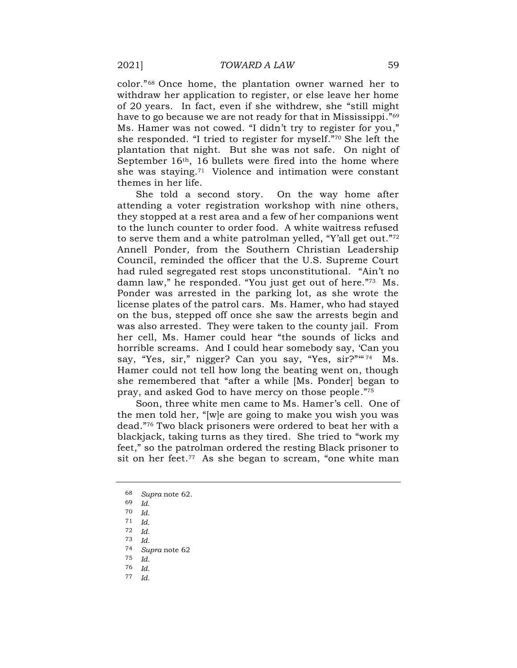color." <sup>68</sup> Once home, the plantation owner warned her to withdraw her application to register, or else leave her home of 20 years. In fact, even if she withdrew, she "still might have to go because we are not ready for that in Mississippi." 69 Ms. Hamer was not cowed. "I didn't try to register for you," she responded. "I tried to register for myself." <sup>70</sup> She left the plantation that night. But she was not safe. On night of September 16th, 16 bullets were fired into the home where she was staying.<sup>71</sup> Violence and intimation were constant themes in her life.

She told a second story. On the way home after attending a voter registration workshop with nine others, they stopped at a rest area and a few of her companions went to the lunch counter to order food. A white waitress refused to serve them and a white patrolman yelled, "Y'all get out."72 Annell Ponder, from the Southern Christian Leadership Council, reminded the officer that the U.S. Supreme Court had ruled segregated rest stops unconstitutional. "Ain't no damn law," he responded. "You just get out of here." <sup>73</sup> Ms. Ponder was arrested in the parking lot, as she wrote the license plates of the patrol cars. Ms. Hamer, who had stayed on the bus, stepped off once she saw the arrests begin and was also arrested. They were taken to the county jail. From her cell, Ms. Hamer could hear "the sounds of licks and horrible screams. And I could hear somebody say, 'Can you say, "Yes, sir," nigger? Can you say, "Yes, sir?" "74 Ms. Hamer could not tell how long the beating went on, though she remembered that "after a while [Ms. Ponder] began to pray, and asked God to have mercy on those people." 75

Soon, three white men came to Ms. Hamer's cell. One of the men told her, "[w]e are going to make you wish you was dead." <sup>76</sup> Two black prisoners were ordered to beat her with a blackjack, taking turns as they tired. She tried to "work my feet," so the patrolman ordered the resting Black prisoner to sit on her feet.<sup>77</sup> As she began to scream, "one white man

77 *Id.*

<sup>68</sup> *Supra* note [62.](#page-8-0)

<sup>69</sup> *Id.*

<sup>70</sup> *Id.*

<sup>71</sup> *Id.*

<sup>72</sup> *Id.*

<sup>73</sup> *Id.*

<sup>74</sup> *Supra* note [62](#page-8-0)

<sup>75</sup> *Id.*

<sup>76</sup> *Id.*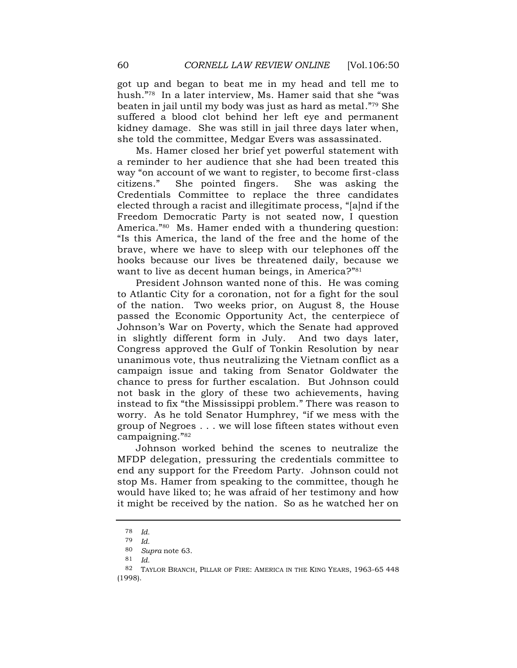got up and began to beat me in my head and tell me to hush." <sup>78</sup> In a later interview, Ms. Hamer said that she "was beaten in jail until my body was just as hard as metal." <sup>79</sup> She suffered a blood clot behind her left eye and permanent kidney damage. She was still in jail three days later when, she told the committee, Medgar Evers was assassinated.

Ms. Hamer closed her brief yet powerful statement with a reminder to her audience that she had been treated this way "on account of we want to register, to become first-class citizens." She pointed fingers. She was asking the Credentials Committee to replace the three candidates elected through a racist and illegitimate process, "[a]nd if the Freedom Democratic Party is not seated now, I question America." <sup>80</sup> Ms. Hamer ended with a thundering question: "Is this America, the land of the free and the home of the brave, where we have to sleep with our telephones off the hooks because our lives be threatened daily, because we want to live as decent human beings, in America?" 81

President Johnson wanted none of this. He was coming to Atlantic City for a coronation, not for a fight for the soul of the nation. Two weeks prior, on August 8, the House passed the Economic Opportunity Act, the centerpiece of Johnson's War on Poverty, which the Senate had approved in slightly different form in July. And two days later, Congress approved the Gulf of Tonkin Resolution by near unanimous vote, thus neutralizing the Vietnam conflict as a campaign issue and taking from Senator Goldwater the chance to press for further escalation. But Johnson could not bask in the glory of these two achievements, having instead to fix "the Mississippi problem." There was reason to worry. As he told Senator Humphrey, "if we mess with the group of Negroes . . . we will lose fifteen states without even campaigning." 82

<span id="page-10-0"></span>Johnson worked behind the scenes to neutralize the MFDP delegation, pressuring the credentials committee to end any support for the Freedom Party. Johnson could not stop Ms. Hamer from speaking to the committee, though he would have liked to; he was afraid of her testimony and how it might be received by the nation. So as he watched her on

<sup>78</sup> *Id.*

<sup>79</sup> *Id.*

<sup>80</sup> *Supra* note [63.](#page-8-1)

<sup>81</sup> *Id.*

<sup>82</sup> TAYLOR BRANCH, PILLAR OF FIRE: AMERICA IN THE KING YEARS, 1963-65 448 (1998).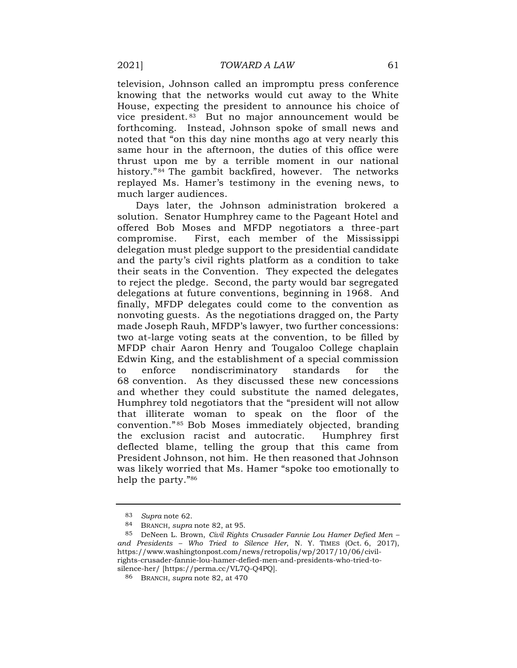television, Johnson called an impromptu press conference knowing that the networks would cut away to the White House, expecting the president to announce his choice of vice president. <sup>83</sup> But no major announcement would be forthcoming. Instead, Johnson spoke of small news and noted that "on this day nine months ago at very nearly this same hour in the afternoon, the duties of this office were thrust upon me by a terrible moment in our national history." <sup>84</sup> The gambit backfired, however. The networks replayed Ms. Hamer's testimony in the evening news, to much larger audiences.

Days later, the Johnson administration brokered a solution. Senator Humphrey came to the Pageant Hotel and offered Bob Moses and MFDP negotiators a three-part compromise. First, each member of the Mississippi delegation must pledge support to the presidential candidate and the party's civil rights platform as a condition to take their seats in the Convention. They expected the delegates to reject the pledge. Second, the party would bar segregated delegations at future conventions, beginning in 1968. And finally, MFDP delegates could come to the convention as nonvoting guests. As the negotiations dragged on, the Party made Joseph Rauh, MFDP's lawyer, two further concessions: two at-large voting seats at the convention, to be filled by MFDP chair Aaron Henry and Tougaloo College chaplain Edwin King, and the establishment of a special commission to enforce nondiscriminatory standards for the 68 convention. As they discussed these new concessions and whether they could substitute the named delegates, Humphrey told negotiators that the "president will not allow that illiterate woman to speak on the floor of the convention." <sup>85</sup> Bob Moses immediately objected, branding the exclusion racist and autocratic. Humphrey first deflected blame, telling the group that this came from President Johnson, not him. He then reasoned that Johnson was likely worried that Ms. Hamer "spoke too emotionally to help the party." 86

<sup>83</sup> *Supra* note [62.](#page-8-0)

<sup>84</sup> BRANCH, *supra* note [82,](#page-10-0) at 95.

<sup>85</sup> DeNeen L. Brown, *Civil Rights Crusader Fannie Lou Hamer Defied Men – and Presidents – Who Tried to Silence Her*, N. Y. TIMES (Oct. 6, 2017), https://www.washingtonpost.com/news/retropolis/wp/2017/10/06/civilrights-crusader-fannie-lou-hamer-defied-men-and-presidents-who-tried-tosilence-her/ [https://perma.cc/VL7Q-Q4PQ].

<sup>86</sup> BRANCH, *supra* note [82,](#page-10-0) at 470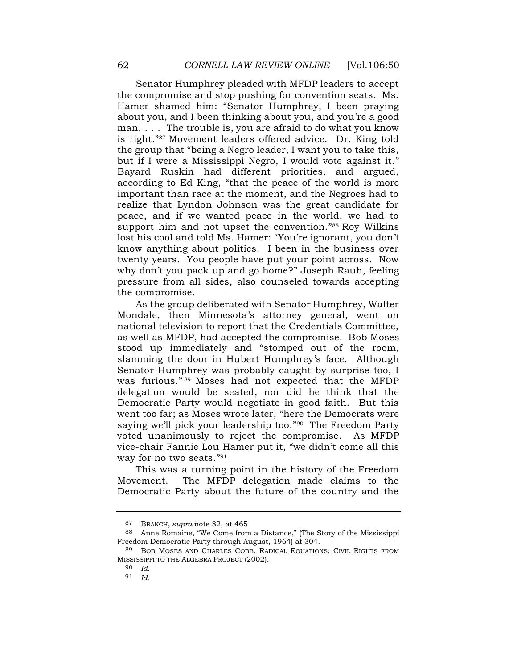Senator Humphrey pleaded with MFDP leaders to accept the compromise and stop pushing for convention seats. Ms. Hamer shamed him: "Senator Humphrey, I been praying about you, and I been thinking about you, and you're a good man. . . . The trouble is, you are afraid to do what you know is right." <sup>87</sup> Movement leaders offered advice. Dr. King told the group that "being a Negro leader, I want you to take this, but if I were a Mississippi Negro, I would vote against it." Bayard Ruskin had different priorities, and argued, according to Ed King, "that the peace of the world is more important than race at the moment, and the Negroes had to realize that Lyndon Johnson was the great candidate for peace, and if we wanted peace in the world, we had to support him and not upset the convention." <sup>88</sup> Roy Wilkins lost his cool and told Ms. Hamer: "You're ignorant, you don't know anything about politics. I been in the business over twenty years. You people have put your point across. Now why don't you pack up and go home?" Joseph Rauh, feeling pressure from all sides, also counseled towards accepting the compromise.

As the group deliberated with Senator Humphrey, Walter Mondale, then Minnesota's attorney general, went on national television to report that the Credentials Committee, as well as MFDP, had accepted the compromise. Bob Moses stood up immediately and "stomped out of the room, slamming the door in Hubert Humphrey's face. Although Senator Humphrey was probably caught by surprise too, I was furious." <sup>89</sup> Moses had not expected that the MFDP delegation would be seated, nor did he think that the Democratic Party would negotiate in good faith. But this went too far; as Moses wrote later, "here the Democrats were saying we'll pick your leadership too." <sup>90</sup> The Freedom Party voted unanimously to reject the compromise. As MFDP vice-chair Fannie Lou Hamer put it, "we didn't come all this way for no two seats." 91

This was a turning point in the history of the Freedom Movement. The MFDP delegation made claims to the Democratic Party about the future of the country and the

<sup>87</sup> BRANCH, *supra* note [82,](#page-10-0) at 465

<sup>88</sup> Anne Romaine, "We Come from a Distance," (The Story of the Mississippi Freedom Democratic Party through August, 1964) at 304.

<sup>89</sup> BOB MOSES AND CHARLES COBB, RADICAL EQUATIONS: CIVIL RIGHTS FROM MISSISSIPPI TO THE ALGEBRA PROJECT (2002).

<sup>90</sup> *Id.*

<sup>91</sup> *Id.*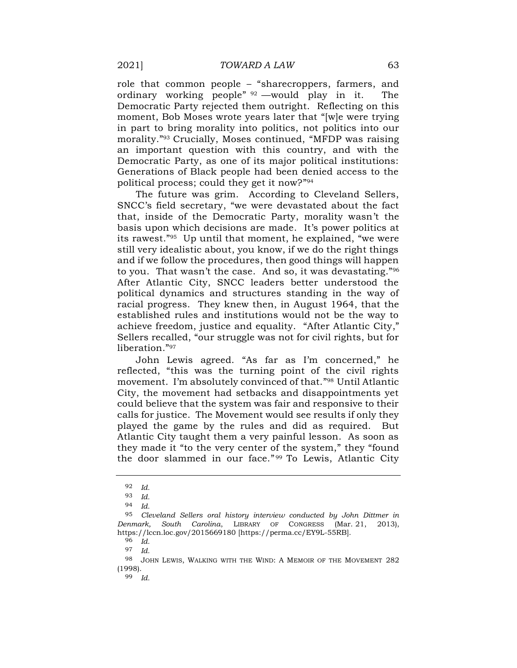role that common people – "sharecroppers, farmers, and ordinary working people" <sup>92</sup> —would play in it. The Democratic Party rejected them outright. Reflecting on this moment, Bob Moses wrote years later that "[w]e were trying in part to bring morality into politics, not politics into our morality." <sup>93</sup> Crucially, Moses continued, "MFDP was raising an important question with this country, and with the Democratic Party, as one of its major political institutions: Generations of Black people had been denied access to the political process; could they get it now?" 94

The future was grim. According to Cleveland Sellers, SNCC's field secretary, "we were devastated about the fact that, inside of the Democratic Party, morality wasn't the basis upon which decisions are made. It's power politics at its rawest." <sup>95</sup> Up until that moment, he explained, "we were still very idealistic about, you know, if we do the right things and if we follow the procedures, then good things will happen to you. That wasn't the case. And so, it was devastating." 96 After Atlantic City, SNCC leaders better understood the political dynamics and structures standing in the way of racial progress. They knew then, in August 1964, that the established rules and institutions would not be the way to achieve freedom, justice and equality. "After Atlantic City," Sellers recalled, "our struggle was not for civil rights, but for liberation." 97

John Lewis agreed. "As far as I'm concerned," he reflected, "this was the turning point of the civil rights movement. I'm absolutely convinced of that." <sup>98</sup> Until Atlantic City, the movement had setbacks and disappointments yet could believe that the system was fair and responsive to their calls for justice. The Movement would see results if only they played the game by the rules and did as required. But Atlantic City taught them a very painful lesson. As soon as they made it "to the very center of the system," they "found the door slammed in our face." <sup>99</sup> To Lewis, Atlantic City

96 *Id.*

97 *Id.*

<sup>92</sup> *Id.*

<sup>93</sup> *Id.*

<sup>94</sup> *Id.*

<sup>95</sup> *Cleveland Sellers oral history interview conducted by John Dittmer in Denmark, South Carolina*, LIBRARY OF CONGRESS (Mar. 21, 2013), https://lccn.loc.gov/2015669180 [https://perma.cc/EY9L-55RB].

<sup>98</sup> JOHN LEWIS, WALKING WITH THE WIND: A MEMOIR OF THE MOVEMENT 282 (1998).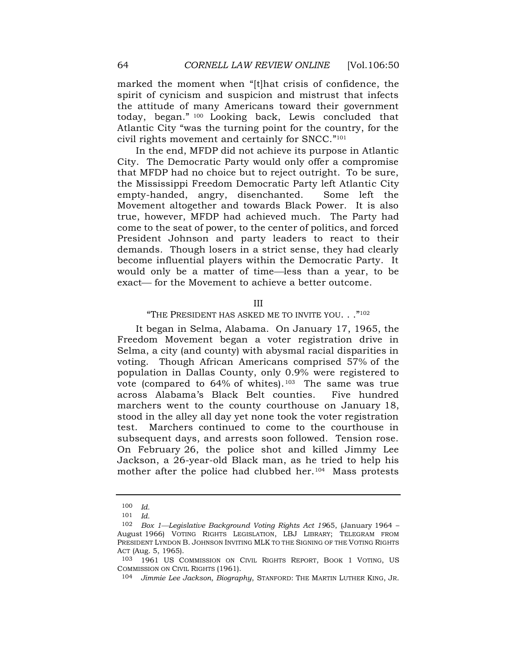marked the moment when "[t]hat crisis of confidence, the spirit of cynicism and suspicion and mistrust that infects the attitude of many Americans toward their government today, began." <sup>100</sup> Looking back, Lewis concluded that Atlantic City "was the turning point for the country, for the civil rights movement and certainly for SNCC." 101

In the end, MFDP did not achieve its purpose in Atlantic City. The Democratic Party would only offer a compromise that MFDP had no choice but to reject outright. To be sure, the Mississippi Freedom Democratic Party left Atlantic City empty-handed, angry, disenchanted. Some left the Movement altogether and towards Black Power. It is also true, however, MFDP had achieved much. The Party had come to the seat of power, to the center of politics, and forced President Johnson and party leaders to react to their demands. Though losers in a strict sense, they had clearly become influential players within the Democratic Party. It would only be a matter of time—less than a year, to be exact— for the Movement to achieve a better outcome.

III

#### "THE PRESIDENT HAS ASKED ME TO INVITE YOU. . ."<sup>102</sup>

It began in Selma, Alabama. On January 17, 1965, the Freedom Movement began a voter registration drive in Selma, a city (and county) with abysmal racial disparities in voting. Though African Americans comprised 57% of the population in Dallas County, only 0.9% were registered to vote (compared to  $64\%$  of whites).<sup>103</sup> The same was true across Alabama's Black Belt counties. Five hundred marchers went to the county courthouse on January 18, stood in the alley all day yet none took the voter registration test. Marchers continued to come to the courthouse in subsequent days, and arrests soon followed. Tension rose. On February 26, the police shot and killed Jimmy Lee Jackson, a 26-year-old Black man, as he tried to help his mother after the police had clubbed her.104 Mass protests

<sup>100</sup> *Id.*

<sup>101</sup> *Id.*

<sup>102</sup> *Box 1—Legislative Background Voting Rights Act 1965*, (January 1964 -August 1966) VOTING RIGHTS LEGISLATION, LBJ LIBRARY; TELEGRAM FROM PRESIDENT LYNDON B. JOHNSON INVITING MLK TO THE SIGNING OF THE VOTING RIGHTS ACT (Aug. 5, 1965).

<sup>103</sup> 1961 US COMMISSION ON CIVIL RIGHTS REPORT, BOOK 1 VOTING, US COMMISSION ON CIVIL RIGHTS (1961).

<sup>104</sup> *Jimmie Lee Jackson, Biography*, STANFORD: THE MARTIN LUTHER KING, JR.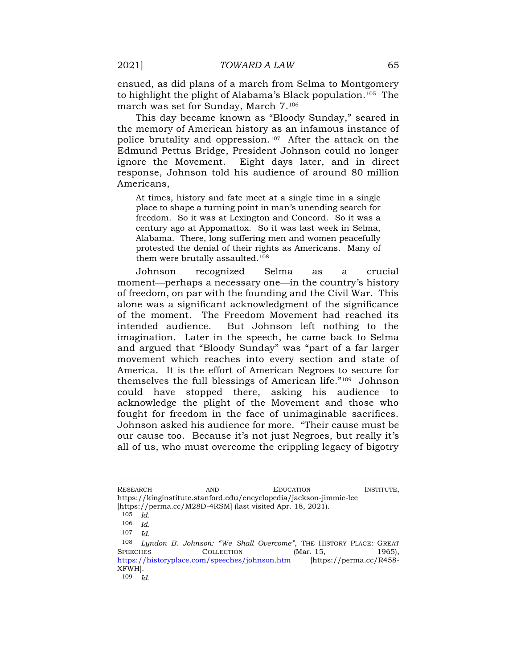ensued, as did plans of a march from Selma to Montgomery to highlight the plight of Alabama's Black population.105 The march was set for Sunday, March 7.<sup>106</sup>

This day became known as "Bloody Sunday," seared in the memory of American history as an infamous instance of police brutality and oppression.107 After the attack on the Edmund Pettus Bridge, President Johnson could no longer ignore the Movement. Eight days later, and in direct response, Johnson told his audience of around 80 million Americans,

At times, history and fate meet at a single time in a single place to shape a turning point in man's unending search for freedom. So it was at Lexington and Concord. So it was a century ago at Appomattox. So it was last week in Selma, Alabama. There, long suffering men and women peacefully protested the denial of their rights as Americans. Many of them were brutally assaulted.<sup>108</sup>

Johnson recognized Selma as a crucial moment—perhaps a necessary one—in the country's history of freedom, on par with the founding and the Civil War. This alone was a significant acknowledgment of the significance of the moment. The Freedom Movement had reached its intended audience. But Johnson left nothing to the imagination. Later in the speech, he came back to Selma and argued that "Bloody Sunday" was "part of a far larger movement which reaches into every section and state of America. It is the effort of American Negroes to secure for themselves the full blessings of American life." <sup>109</sup> Johnson could have stopped there, asking his audience to acknowledge the plight of the Movement and those who fought for freedom in the face of unimaginable sacrifices. Johnson asked his audience for more. "Their cause must be our cause too. Because it's not just Negroes, but really it's all of us, who must overcome the crippling legacy of bigotry

RESEARCH AND AND EDUCATION INSTITUTE, https://kinginstitute.stanford.edu/encyclopedia/jackson-jimmie-lee [https://perma.cc/M28D-4RSM] (last visited Apr. 18, 2021).

<sup>105</sup> *Id.*

<sup>106</sup> *Id.*

<sup>107</sup> *Id*.

<sup>108</sup> *Lyndon B. Johnson: "We Shall Overcome"*, THE HISTORY PLACE: GREAT SPEECHES COLLECTION (Mar. 15, 1965), <https://historyplace.com/speeches/johnson.htm> [https://perma.cc/R458- XFWH].

<sup>109</sup> *Id.*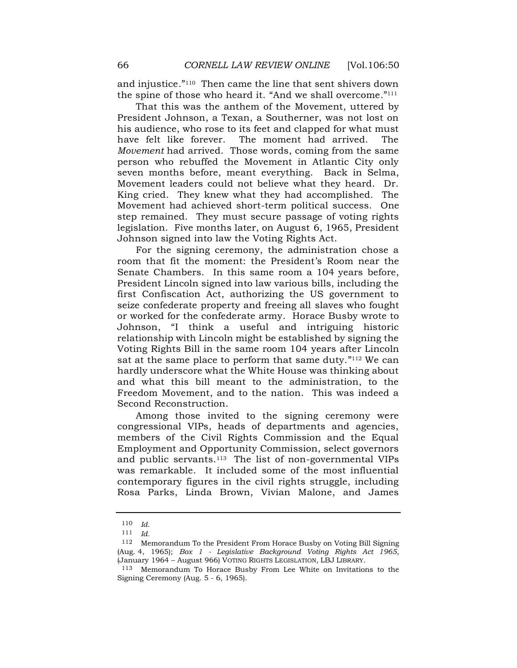and injustice." <sup>110</sup> Then came the line that sent shivers down the spine of those who heard it. "And we shall overcome." 111

That this was the anthem of the Movement, uttered by President Johnson, a Texan, a Southerner, was not lost on his audience, who rose to its feet and clapped for what must have felt like forever. The moment had arrived. The *Movement* had arrived. Those words, coming from the same person who rebuffed the Movement in Atlantic City only seven months before, meant everything. Back in Selma, Movement leaders could not believe what they heard. Dr. King cried. They knew what they had accomplished. The Movement had achieved short-term political success. One step remained. They must secure passage of voting rights legislation. Five months later, on August 6, 1965, President Johnson signed into law the Voting Rights Act.

For the signing ceremony, the administration chose a room that fit the moment: the President's Room near the Senate Chambers. In this same room a 104 years before, President Lincoln signed into law various bills, including the first Confiscation Act, authorizing the US government to seize confederate property and freeing all slaves who fought or worked for the confederate army. Horace Busby wrote to Johnson, "I think a useful and intriguing historic relationship with Lincoln might be established by signing the Voting Rights Bill in the same room 104 years after Lincoln sat at the same place to perform that same duty."<sup>112</sup> We can hardly underscore what the White House was thinking about and what this bill meant to the administration, to the Freedom Movement, and to the nation. This was indeed a Second Reconstruction.

Among those invited to the signing ceremony were congressional VIPs, heads of departments and agencies, members of the Civil Rights Commission and the Equal Employment and Opportunity Commission, select governors and public servants.<sup>113</sup> The list of non-governmental VIPs was remarkable. It included some of the most influential contemporary figures in the civil rights struggle, including Rosa Parks, Linda Brown, Vivian Malone, and James

<sup>110</sup> *Id.*

<sup>111</sup> *Id.*

<sup>112</sup> Memorandum To the President From Horace Busby on Voting Bill Signing (Aug. 4, 1965); *Box 1 - Legislative Background Voting Rights Act 1965*, (January 1964 – August 966) VOTING RIGHTS LEGISLATION, LBJ LIBRARY.

<sup>113</sup> Memorandum To Horace Busby From Lee White on Invitations to the Signing Ceremony (Aug. 5 - 6, 1965).